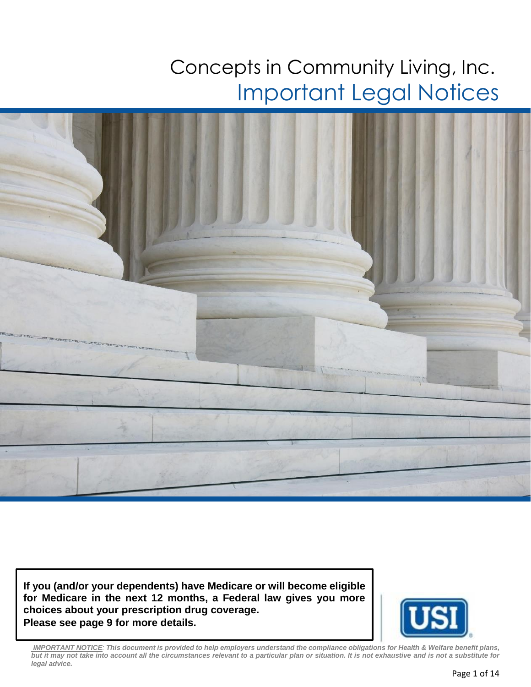# Concepts in Community Living, Inc. Important Legal Notices



**If you (and/or your dependents) have Medicare or will become eligible for Medicare in the next 12 months, a Federal law gives you more choices about your prescription drug coverage. Please see page 9 for more details.**



*IMPORTANT NOTICE: This document is provided to help employers understand the compliance obligations for Health & Welfare benefit plans, but it may not take into account all the circumstances relevant to a particular plan or situation. It is not exhaustive and is not a substitute for legal advice.*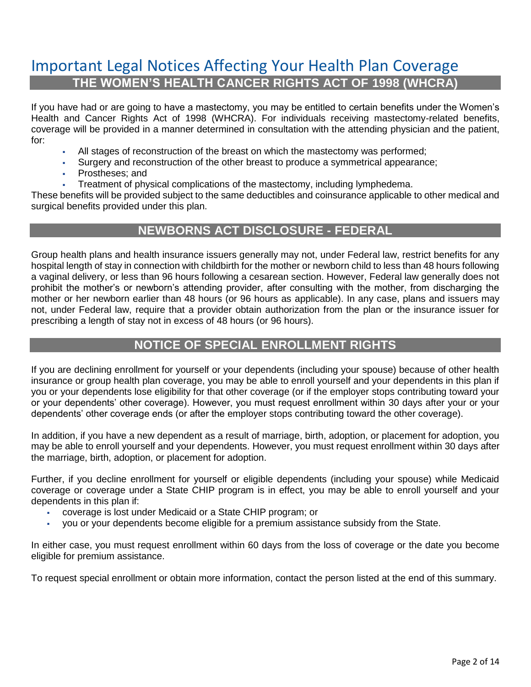## Important Legal Notices Affecting Your Health Plan Coverage **THE WOMEN'S HEALTH CANCER RIGHTS ACT OF 1998 (WHCRA)**

If you have had or are going to have a mastectomy, you may be entitled to certain benefits under the Women's Health and Cancer Rights Act of 1998 (WHCRA). For individuals receiving mastectomy-related benefits, coverage will be provided in a manner determined in consultation with the attending physician and the patient, for:

- All stages of reconstruction of the breast on which the mastectomy was performed;
- Surgery and reconstruction of the other breast to produce a symmetrical appearance;
- Prostheses; and
- Treatment of physical complications of the mastectomy, including lymphedema.

These benefits will be provided subject to the same deductibles and coinsurance applicable to other medical and surgical benefits provided under this plan.

### **NEWBORNS ACT DISCLOSURE - FEDERAL**

Group health plans and health insurance issuers generally may not, under Federal law, restrict benefits for any hospital length of stay in connection with childbirth for the mother or newborn child to less than 48 hours following a vaginal delivery, or less than 96 hours following a cesarean section. However, Federal law generally does not prohibit the mother's or newborn's attending provider, after consulting with the mother, from discharging the mother or her newborn earlier than 48 hours (or 96 hours as applicable). In any case, plans and issuers may not, under Federal law, require that a provider obtain authorization from the plan or the insurance issuer for prescribing a length of stay not in excess of 48 hours (or 96 hours).

## **NOTICE OF SPECIAL ENROLLMENT RIGHTS**

If you are declining enrollment for yourself or your dependents (including your spouse) because of other health insurance or group health plan coverage, you may be able to enroll yourself and your dependents in this plan if you or your dependents lose eligibility for that other coverage (or if the employer stops contributing toward your or your dependents' other coverage). However, you must request enrollment within 30 days after your or your dependents' other coverage ends (or after the employer stops contributing toward the other coverage).

In addition, if you have a new dependent as a result of marriage, birth, adoption, or placement for adoption, you may be able to enroll yourself and your dependents. However, you must request enrollment within 30 days after the marriage, birth, adoption, or placement for adoption.

Further, if you decline enrollment for yourself or eligible dependents (including your spouse) while Medicaid coverage or coverage under a State CHIP program is in effect, you may be able to enroll yourself and your dependents in this plan if:

- coverage is lost under Medicaid or a State CHIP program; or
- you or your dependents become eligible for a premium assistance subsidy from the State.

In either case, you must request enrollment within 60 days from the loss of coverage or the date you become eligible for premium assistance.

To request special enrollment or obtain more information, contact the person listed at the end of this summary.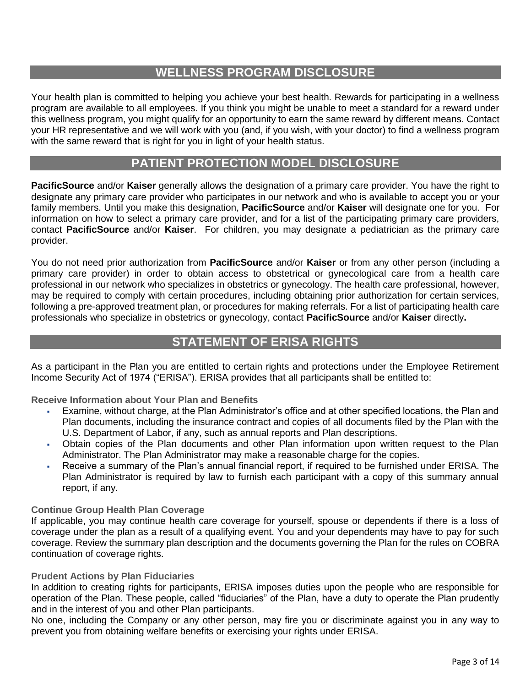## **WELLNESS PROGRAM DISCLOSURE**

Your health plan is committed to helping you achieve your best health. Rewards for participating in a wellness program are available to all employees. If you think you might be unable to meet a standard for a reward under this wellness program, you might qualify for an opportunity to earn the same reward by different means. Contact your HR representative and we will work with you (and, if you wish, with your doctor) to find a wellness program with the same reward that is right for you in light of your health status.

## **PATIENT PROTECTION MODEL DISCLOSURE**

**PacificSource** and/or **Kaiser** generally allows the designation of a primary care provider. You have the right to designate any primary care provider who participates in our network and who is available to accept you or your family members. Until you make this designation, **PacificSource** and/or **Kaiser** will designate one for you. For information on how to select a primary care provider, and for a list of the participating primary care providers, contact **PacificSource** and/or **Kaiser**. For children, you may designate a pediatrician as the primary care provider.

You do not need prior authorization from **PacificSource** and/or **Kaiser** or from any other person (including a primary care provider) in order to obtain access to obstetrical or gynecological care from a health care professional in our network who specializes in obstetrics or gynecology. The health care professional, however, may be required to comply with certain procedures, including obtaining prior authorization for certain services, following a pre-approved treatment plan, or procedures for making referrals. For a list of participating health care professionals who specialize in obstetrics or gynecology, contact **PacificSource** and/or **Kaiser** directly**.**

## **STATEMENT OF ERISA RIGHTS**

As a participant in the Plan you are entitled to certain rights and protections under the Employee Retirement Income Security Act of 1974 ("ERISA"). ERISA provides that all participants shall be entitled to:

**Receive Information about Your Plan and Benefits**

- Examine, without charge, at the Plan Administrator's office and at other specified locations, the Plan and Plan documents, including the insurance contract and copies of all documents filed by the Plan with the U.S. Department of Labor, if any, such as annual reports and Plan descriptions.
- Obtain copies of the Plan documents and other Plan information upon written request to the Plan Administrator. The Plan Administrator may make a reasonable charge for the copies.
- Receive a summary of the Plan's annual financial report, if required to be furnished under ERISA. The Plan Administrator is required by law to furnish each participant with a copy of this summary annual report, if any.

#### **Continue Group Health Plan Coverage**

If applicable, you may continue health care coverage for yourself, spouse or dependents if there is a loss of coverage under the plan as a result of a qualifying event. You and your dependents may have to pay for such coverage. Review the summary plan description and the documents governing the Plan for the rules on COBRA continuation of coverage rights.

#### **Prudent Actions by Plan Fiduciaries**

In addition to creating rights for participants, ERISA imposes duties upon the people who are responsible for operation of the Plan. These people, called "fiduciaries" of the Plan, have a duty to operate the Plan prudently and in the interest of you and other Plan participants.

No one, including the Company or any other person, may fire you or discriminate against you in any way to prevent you from obtaining welfare benefits or exercising your rights under ERISA.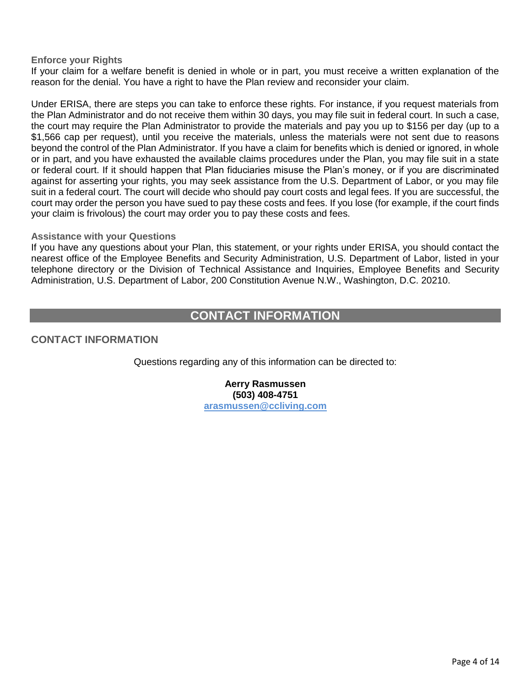#### **Enforce your Rights**

If your claim for a welfare benefit is denied in whole or in part, you must receive a written explanation of the reason for the denial. You have a right to have the Plan review and reconsider your claim.

Under ERISA, there are steps you can take to enforce these rights. For instance, if you request materials from the Plan Administrator and do not receive them within 30 days, you may file suit in federal court. In such a case, the court may require the Plan Administrator to provide the materials and pay you up to \$156 per day (up to a \$1,566 cap per request), until you receive the materials, unless the materials were not sent due to reasons beyond the control of the Plan Administrator. If you have a claim for benefits which is denied or ignored, in whole or in part, and you have exhausted the available claims procedures under the Plan, you may file suit in a state or federal court. If it should happen that Plan fiduciaries misuse the Plan's money, or if you are discriminated against for asserting your rights, you may seek assistance from the U.S. Department of Labor, or you may file suit in a federal court. The court will decide who should pay court costs and legal fees. If you are successful, the court may order the person you have sued to pay these costs and fees. If you lose (for example, if the court finds your claim is frivolous) the court may order you to pay these costs and fees.

#### **Assistance with your Questions**

If you have any questions about your Plan, this statement, or your rights under ERISA, you should contact the nearest office of the Employee Benefits and Security Administration, U.S. Department of Labor, listed in your telephone directory or the Division of Technical Assistance and Inquiries, Employee Benefits and Security Administration, U.S. Department of Labor, 200 Constitution Avenue N.W., Washington, D.C. 20210.

## **CONTACT INFORMATION**

#### **CONTACT INFORMATION**

Questions regarding any of this information can be directed to:

**Aerry Rasmussen (503) 408-4751 arasmussen@ccliving.com**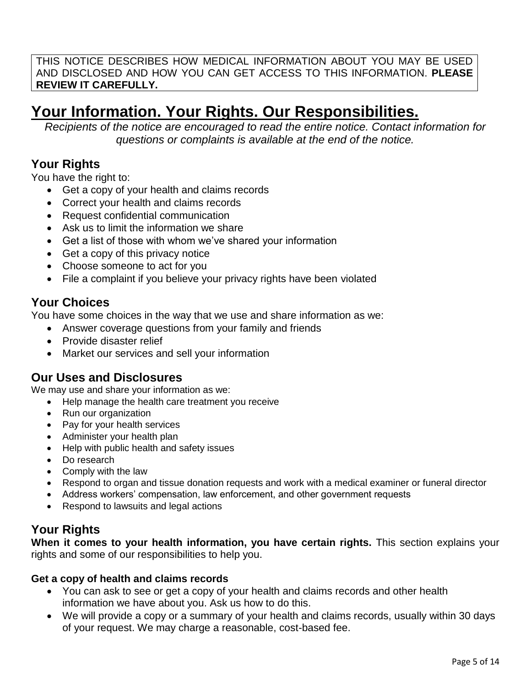THIS NOTICE DESCRIBES HOW MEDICAL INFORMATION ABOUT YOU MAY BE USED AND DISCLOSED AND HOW YOU CAN GET ACCESS TO THIS INFORMATION. **PLEASE REVIEW IT CAREFULLY.**

## **Your Information. Your Rights. Our Responsibilities.**

*Recipients of the notice are encouraged to read the entire notice. Contact information for questions or complaints is available at the end of the notice.*

## **Your Rights**

You have the right to:

- Get a copy of your health and claims records
- Correct your health and claims records
- Request confidential communication
- Ask us to limit the information we share
- Get a list of those with whom we've shared your information
- Get a copy of this privacy notice
- Choose someone to act for you
- File a complaint if you believe your privacy rights have been violated

## **Your Choices**

You have some choices in the way that we use and share information as we:

- Answer coverage questions from your family and friends
- Provide disaster relief
- Market our services and sell your information

## **Our Uses and Disclosures**

We may use and share your information as we:

- Help manage the health care treatment you receive
- Run our organization
- Pay for your health services
- Administer your health plan
- Help with public health and safety issues
- Do research
- Comply with the law
- Respond to organ and tissue donation requests and work with a medical examiner or funeral director
- Address workers' compensation, law enforcement, and other government requests
- Respond to lawsuits and legal actions

## **Your Rights**

**When it comes to your health information, you have certain rights.** This section explains your rights and some of our responsibilities to help you.

#### **Get a copy of health and claims records**

- You can ask to see or get a copy of your health and claims records and other health information we have about you. Ask us how to do this.
- We will provide a copy or a summary of your health and claims records, usually within 30 days of your request. We may charge a reasonable, cost-based fee.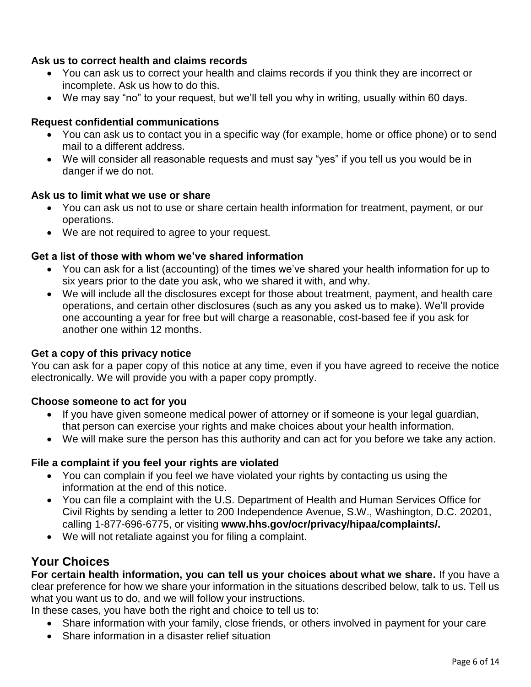#### **Ask us to correct health and claims records**

- You can ask us to correct your health and claims records if you think they are incorrect or incomplete. Ask us how to do this.
- We may say "no" to your request, but we'll tell you why in writing, usually within 60 days.

#### **Request confidential communications**

- You can ask us to contact you in a specific way (for example, home or office phone) or to send mail to a different address.
- We will consider all reasonable requests and must say "yes" if you tell us you would be in danger if we do not.

#### **Ask us to limit what we use or share**

- You can ask us not to use or share certain health information for treatment, payment, or our operations.
- We are not required to agree to your request.

#### **Get a list of those with whom we've shared information**

- You can ask for a list (accounting) of the times we've shared your health information for up to six years prior to the date you ask, who we shared it with, and why.
- We will include all the disclosures except for those about treatment, payment, and health care operations, and certain other disclosures (such as any you asked us to make). We'll provide one accounting a year for free but will charge a reasonable, cost-based fee if you ask for another one within 12 months.

#### **Get a copy of this privacy notice**

You can ask for a paper copy of this notice at any time, even if you have agreed to receive the notice electronically. We will provide you with a paper copy promptly.

#### **Choose someone to act for you**

- If you have given someone medical power of attorney or if someone is your legal guardian, that person can exercise your rights and make choices about your health information.
- We will make sure the person has this authority and can act for you before we take any action.

#### **File a complaint if you feel your rights are violated**

- You can complain if you feel we have violated your rights by contacting us using the information at the end of this notice.
- You can file a complaint with the U.S. Department of Health and Human Services Office for Civil Rights by sending a letter to 200 Independence Avenue, S.W., Washington, D.C. 20201, calling 1-877-696-6775, or visiting **www.hhs.gov/ocr/privacy/hipaa/complaints/.**
- We will not retaliate against you for filing a complaint.

## **Your Choices**

**For certain health information, you can tell us your choices about what we share.** If you have a clear preference for how we share your information in the situations described below, talk to us. Tell us what you want us to do, and we will follow your instructions.

In these cases, you have both the right and choice to tell us to:

- Share information with your family, close friends, or others involved in payment for your care
- Share information in a disaster relief situation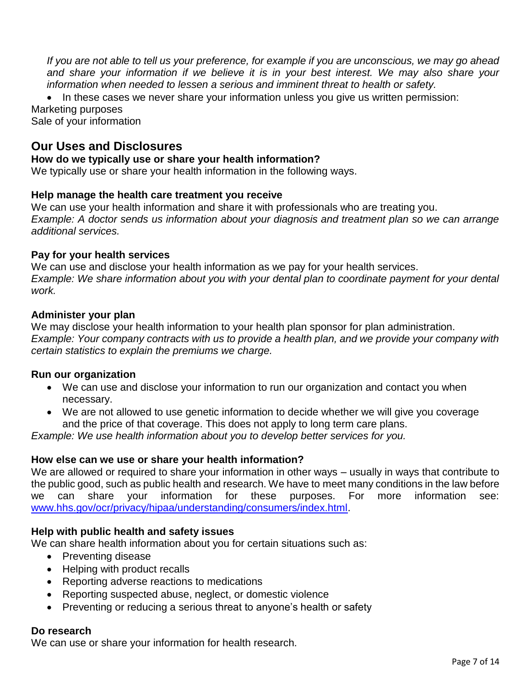*If you are not able to tell us your preference, for example if you are unconscious, we may go ahead and share your information if we believe it is in your best interest. We may also share your information when needed to lessen a serious and imminent threat to health or safety.*

• In these cases we never share your information unless you give us written permission: Marketing purposes

Sale of your information

## **Our Uses and Disclosures**

#### **How do we typically use or share your health information?**

We typically use or share your health information in the following ways.

#### **Help manage the health care treatment you receive**

We can use your health information and share it with professionals who are treating you. *Example: A doctor sends us information about your diagnosis and treatment plan so we can arrange additional services.*

#### **Pay for your health services**

We can use and disclose your health information as we pay for your health services. *Example: We share information about you with your dental plan to coordinate payment for your dental work.*

#### **Administer your plan**

We may disclose your health information to your health plan sponsor for plan administration. *Example: Your company contracts with us to provide a health plan, and we provide your company with certain statistics to explain the premiums we charge.*

#### **Run our organization**

- We can use and disclose your information to run our organization and contact you when necessary.
- We are not allowed to use genetic information to decide whether we will give you coverage and the price of that coverage. This does not apply to long term care plans.

*Example: We use health information about you to develop better services for you.*

#### **How else can we use or share your health information?**

We are allowed or required to share your information in other ways – usually in ways that contribute to the public good, such as public health and research. We have to meet many conditions in the law before we can share your information for these purposes. For more information see: [www.hhs.gov/ocr/privacy/hipaa/understanding/consumers/index.html.](http://www.hhs.gov/ocr/privacy/hipaa/understanding/consumers/index.html)

#### **Help with public health and safety issues**

We can share health information about you for certain situations such as:

- Preventing disease
- Helping with product recalls
- Reporting adverse reactions to medications
- Reporting suspected abuse, neglect, or domestic violence
- Preventing or reducing a serious threat to anyone's health or safety

#### **Do research**

We can use or share your information for health research.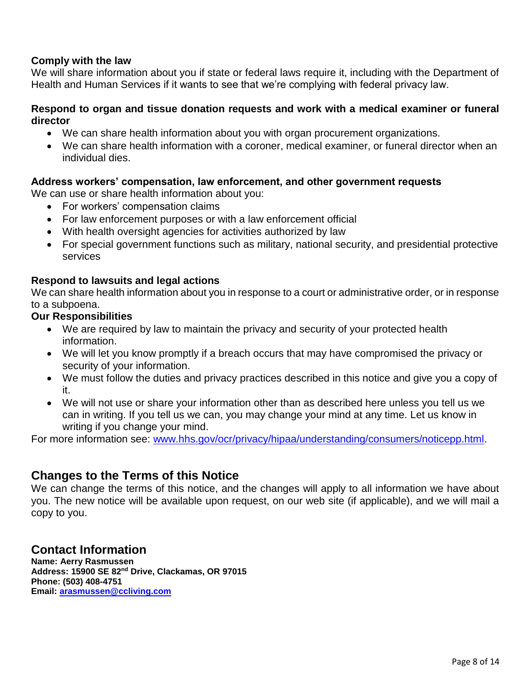#### **Comply with the law**

We will share information about you if state or federal laws require it, including with the Department of Health and Human Services if it wants to see that we're complying with federal privacy law.

#### **Respond to organ and tissue donation requests and work with a medical examiner or funeral director**

- We can share health information about you with organ procurement organizations.
- We can share health information with a coroner, medical examiner, or funeral director when an individual dies.

#### **Address workers' compensation, law enforcement, and other government requests**

We can use or share health information about you:

- For workers' compensation claims
- For law enforcement purposes or with a law enforcement official
- With health oversight agencies for activities authorized by law
- For special government functions such as military, national security, and presidential protective services

#### **Respond to lawsuits and legal actions**

We can share health information about you in response to a court or administrative order, or in response to a subpoena.

#### **Our Responsibilities**

- We are required by law to maintain the privacy and security of your protected health information.
- We will let you know promptly if a breach occurs that may have compromised the privacy or security of your information.
- We must follow the duties and privacy practices described in this notice and give you a copy of it.
- We will not use or share your information other than as described here unless you tell us we can in writing. If you tell us we can, you may change your mind at any time. Let us know in writing if you change your mind.

For more information see: [www.hhs.gov/ocr/privacy/hipaa/understanding/consumers/noticepp.html.](http://www.hhs.gov/ocr/privacy/hipaa/understanding/consumers/noticepp.html)

## **Changes to the Terms of this Notice**

We can change the terms of this notice, and the changes will apply to all information we have about you. The new notice will be available upon request, on our web site (if applicable), and we will mail a copy to you.

## **Contact Information**

**Name: Aerry Rasmussen Address: 15900 SE 82nd Drive, Clackamas, OR 97015 Phone: (503) 408-4751 Email: [arasmussen@ccliving.com](mailto:arasmussen@ccliving.com)**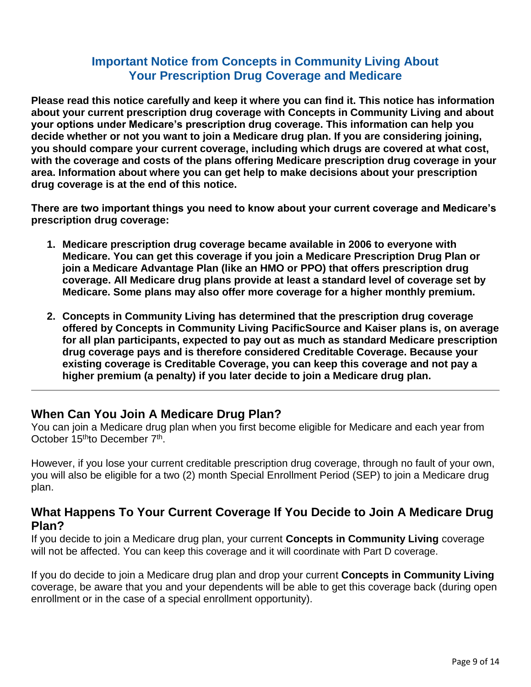## **Important Notice from Concepts in Community Living About Your Prescription Drug Coverage and Medicare**

**Please read this notice carefully and keep it where you can find it. This notice has information about your current prescription drug coverage with Concepts in Community Living and about your options under Medicare's prescription drug coverage. This information can help you decide whether or not you want to join a Medicare drug plan. If you are considering joining, you should compare your current coverage, including which drugs are covered at what cost, with the coverage and costs of the plans offering Medicare prescription drug coverage in your area. Information about where you can get help to make decisions about your prescription drug coverage is at the end of this notice.** 

**There are two important things you need to know about your current coverage and Medicare's prescription drug coverage:** 

- **1. Medicare prescription drug coverage became available in 2006 to everyone with Medicare. You can get this coverage if you join a Medicare Prescription Drug Plan or join a Medicare Advantage Plan (like an HMO or PPO) that offers prescription drug coverage. All Medicare drug plans provide at least a standard level of coverage set by Medicare. Some plans may also offer more coverage for a higher monthly premium.**
- **2. Concepts in Community Living has determined that the prescription drug coverage offered by Concepts in Community Living PacificSource and Kaiser plans is, on average for all plan participants, expected to pay out as much as standard Medicare prescription drug coverage pays and is therefore considered Creditable Coverage. Because your existing coverage is Creditable Coverage, you can keep this coverage and not pay a higher premium (a penalty) if you later decide to join a Medicare drug plan.**

## **When Can You Join A Medicare Drug Plan?**

You can join a Medicare drug plan when you first become eligible for Medicare and each year from October 15<sup>th</sup>to December 7<sup>th</sup>.

However, if you lose your current creditable prescription drug coverage, through no fault of your own, you will also be eligible for a two (2) month Special Enrollment Period (SEP) to join a Medicare drug plan.

## **What Happens To Your Current Coverage If You Decide to Join A Medicare Drug Plan?**

If you decide to join a Medicare drug plan, your current **Concepts in Community Living** coverage will not be affected. You can keep this coverage and it will coordinate with Part D coverage.

If you do decide to join a Medicare drug plan and drop your current **Concepts in Community Living** coverage, be aware that you and your dependents will be able to get this coverage back (during open enrollment or in the case of a special enrollment opportunity).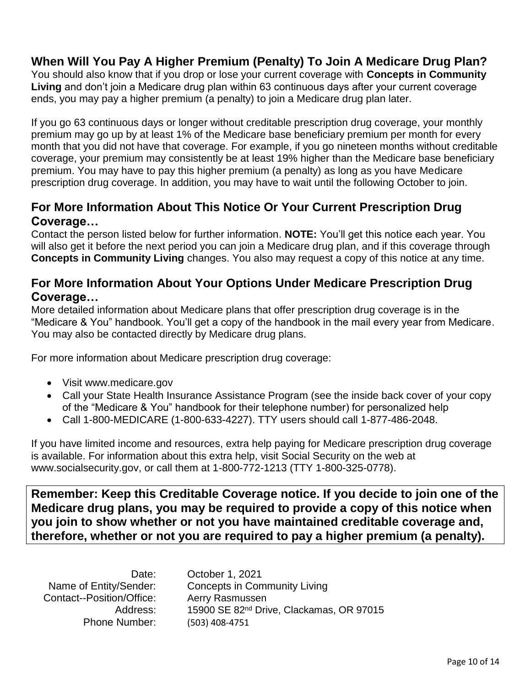## **When Will You Pay A Higher Premium (Penalty) To Join A Medicare Drug Plan?**

You should also know that if you drop or lose your current coverage with **Concepts in Community Living** and don't join a Medicare drug plan within 63 continuous days after your current coverage ends, you may pay a higher premium (a penalty) to join a Medicare drug plan later.

If you go 63 continuous days or longer without creditable prescription drug coverage, your monthly premium may go up by at least 1% of the Medicare base beneficiary premium per month for every month that you did not have that coverage. For example, if you go nineteen months without creditable coverage, your premium may consistently be at least 19% higher than the Medicare base beneficiary premium. You may have to pay this higher premium (a penalty) as long as you have Medicare prescription drug coverage. In addition, you may have to wait until the following October to join.

## **For More Information About This Notice Or Your Current Prescription Drug Coverage…**

Contact the person listed below for further information. **NOTE:** You'll get this notice each year. You will also get it before the next period you can join a Medicare drug plan, and if this coverage through **Concepts in Community Living** changes. You also may request a copy of this notice at any time.

## **For More Information About Your Options Under Medicare Prescription Drug Coverage…**

More detailed information about Medicare plans that offer prescription drug coverage is in the "Medicare & You" handbook. You'll get a copy of the handbook in the mail every year from Medicare. You may also be contacted directly by Medicare drug plans.

For more information about Medicare prescription drug coverage:

- Visit www.medicare.gov
- Call your State Health Insurance Assistance Program (see the inside back cover of your copy of the "Medicare & You" handbook for their telephone number) for personalized help
- Call 1-800-MEDICARE (1-800-633-4227). TTY users should call 1-877-486-2048.

If you have limited income and resources, extra help paying for Medicare prescription drug coverage is available. For information about this extra help, visit Social Security on the web at www.socialsecurity.gov, or call them at 1-800-772-1213 (TTY 1-800-325-0778).

**Remember: Keep this Creditable Coverage notice. If you decide to join one of the Medicare drug plans, you may be required to provide a copy of this notice when you join to show whether or not you have maintained creditable coverage and, therefore, whether or not you are required to pay a higher premium (a penalty).** 

Contact--Position/Office: Aerry Rasmussen Phone Number: (503) 408-4751

Date: **October 1, 2021** Name of Entity/Sender: Concepts in Community Living Address: 15900 SE 82<sup>nd</sup> Drive, Clackamas, OR 97015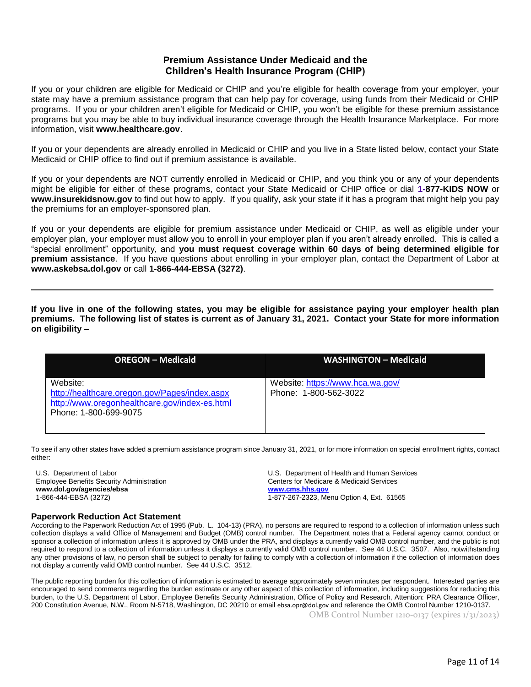#### **Premium Assistance Under Medicaid and the Children's Health Insurance Program (CHIP)**

If you or your children are eligible for Medicaid or CHIP and you're eligible for health coverage from your employer, your state may have a premium assistance program that can help pay for coverage, using funds from their Medicaid or CHIP programs. If you or your children aren't eligible for Medicaid or CHIP, you won't be eligible for these premium assistance programs but you may be able to buy individual insurance coverage through the Health Insurance Marketplace. For more information, visit **[www.healthcare.gov](http://www.healthcare.gov/)**.

If you or your dependents are already enrolled in Medicaid or CHIP and you live in a State listed below, contact your State Medicaid or CHIP office to find out if premium assistance is available.

If you or your dependents are NOT currently enrolled in Medicaid or CHIP, and you think you or any of your dependents might be eligible for either of these programs, contact your State Medicaid or CHIP office or dial **1-877-KIDS NOW** or **[www.insurekidsnow.gov](http://www.insurekidsnow.gov/)** to find out how to apply. If you qualify, ask your state if it has a program that might help you pay the premiums for an employer-sponsored plan.

If you or your dependents are eligible for premium assistance under Medicaid or CHIP, as well as eligible under your employer plan, your employer must allow you to enroll in your employer plan if you aren't already enrolled. This is called a "special enrollment" opportunity, and **you must request coverage within 60 days of being determined eligible for premium assistance**. If you have questions about enrolling in your employer plan, contact the Department of Labor at **[www.askebsa.dol.gov](http://www.askebsa.dol.gov/)** or call **1-866-444-EBSA (3272)**.

**If you live in one of the following states, you may be eligible for assistance paying your employer health plan premiums. The following list of states is current as of January 31, 2021. Contact your State for more information on eligibility –**

| <b>OREGON</b> – Medicaid                                                                                                            | <b>WASHINGTON - Medicaid</b>                              |
|-------------------------------------------------------------------------------------------------------------------------------------|-----------------------------------------------------------|
| Website:<br>http://healthcare.oregon.gov/Pages/index.aspx<br>http://www.oregonhealthcare.gov/index-es.html<br>Phone: 1-800-699-9075 | Website: https://www.hca.wa.gov/<br>Phone: 1-800-562-3022 |

To see if any other states have added a premium assistance program since January 31, 2021, or for more information on special enrollment rights, contact either:

U.S. Department of Labor Employee Benefits Security Administration **[www.dol.gov/agencies/ebsa](https://www.dol.gov/agencies/ebsa)** 1-866-444-EBSA (3272)

U.S. Department of Health and Human Services Centers for Medicare & Medicaid Services **[www.cms.hhs.gov](http://www.cms.hhs.gov/)** 1-877-267-2323, Menu Option 4, Ext. 61565

#### **Paperwork Reduction Act Statement**

According to the Paperwork Reduction Act of 1995 (Pub. L. 104-13) (PRA), no persons are required to respond to a collection of information unless such collection displays a valid Office of Management and Budget (OMB) control number. The Department notes that a Federal agency cannot conduct or sponsor a collection of information unless it is approved by OMB under the PRA, and displays a currently valid OMB control number, and the public is not required to respond to a collection of information unless it displays a currently valid OMB control number. See 44 U.S.C. 3507. Also, notwithstanding any other provisions of law, no person shall be subject to penalty for failing to comply with a collection of information if the collection of information does not display a currently valid OMB control number. See 44 U.S.C. 3512.

The public reporting burden for this collection of information is estimated to average approximately seven minutes per respondent. Interested parties are encouraged to send comments regarding the burden estimate or any other aspect of this collection of information, including suggestions for reducing this burden, to the U.S. Department of Labor, Employee Benefits Security Administration, Office of Policy and Research, Attention: PRA Clearance Officer, 200 Constitution Avenue, N.W., Room N-5718, Washington, DC 20210 or email [ebsa.opr@dol.gov](mailto:ebsa.opr@dol.gov) and reference the OMB Control Number 1210-0137.

OMB Control Number 1210-0137 (expires 1/31/2023)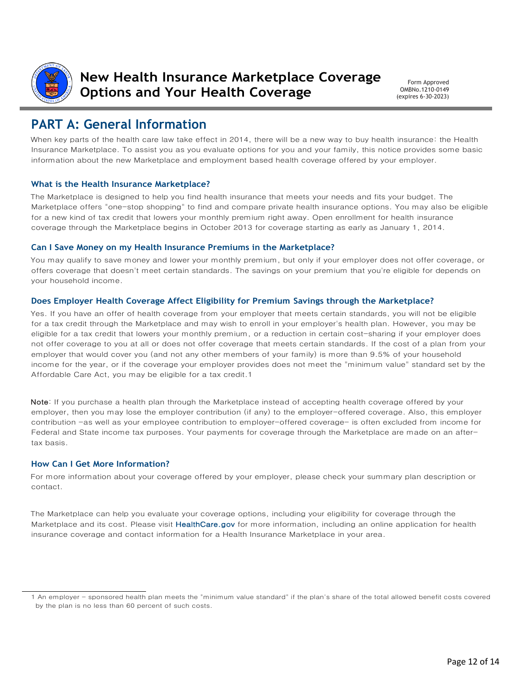

**New Health Insurance Marketplace Coverage Options and Your Health Coverage**

Form Approved OMBNo.1210-0149 (expires 6-30-2023)

## **PART A: General Information**

When key parts of the health care law take effect in 2014, there will be a new way to buy health insurance: the Health Insurance Marketplace. To assist you as you evaluate options for you and your family, this notice provides some basic information about the new Marketplace and employment based health coverage offered by your employer.

#### **What is the Health Insurance Marketplace?**

The Marketplace is designed to help you find health insurance that meets your needs and fits your budget. The Marketplace offers "one-stop shopping" to find and compare private health insurance options. You may also be eligible for a new kind of tax credit that lowers your monthly premium right away. Open enrollment for health insurance coverage through the Marketplace begins in October 2013 for coverage starting as early as January 1, 2014.

#### **Can I Save Money on my Health Insurance Premiums in the Marketplace?**

You may qualify to save money and lower your monthly premium, but only if your employer does not offer coverage, or offers coverage that doesn't meet certain standards. The savings on your premium that you're eligible for depends on your household income.

#### **Does Employer Health Coverage Affect Eligibility for Premium Savings through the Marketplace?**

Yes. If you have an offer of health coverage from your employer that meets certain standards, you will not be eligible for a tax credit through the Marketplace and may wish to enroll in your employer's health plan. However, you may be eligible for a tax credit that lowers your monthly premium, or a reduction in certain cost-sharing if your employer does not offer coverage to you at all or does not offer coverage that meets certain standards. If the cost of a plan from your employer that would cover you (and not any other members of your family) is more than 9.5% of your household income for the year, or if the coverage your employer provides does not meet the "minimum value" standard set by the Affordable Care Act, you may be eligible for a tax credit.1

Note: If you purchase a health plan through the Marketplace instead of accepting health coverage offered by your employer, then you may lose the employer contribution (if any) to the employer-offered coverage. Also, this employer contribution -as well as your employee contribution to employer-offered coverage- is often excluded from income for Federal and State income tax purposes. Your payments for coverage through the Marketplace are made on an aftertax basis.

#### **How Can I Get More Information?**

For more information about your coverage offered by your employer, please check your summary plan description or contact.

The Marketplace can help you evaluate your coverage options, including your eligibility for coverage through the Marketplace and its cost. Please visit HealthCare.gov for more information, including an online application for health insurance coverage and contact information for a Health Insurance Marketplace in your area.

<sup>1</sup> An employer - sponsored health plan meets the "minimum value standard" if the plan's share of the total allowed benefit costs covered by the plan is no less than 60 percent of such costs.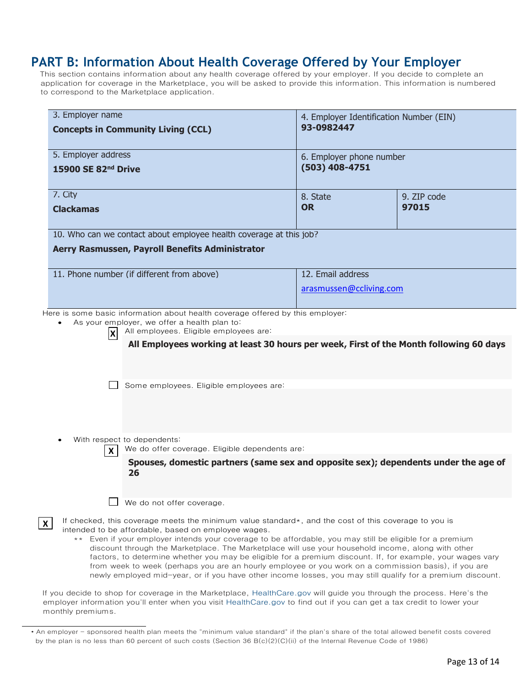## **PART B: Information About Health Coverage Offered by Your Employer**

This section contains information about any health coverage offered by your employer. If you decide to complete an application for coverage in the Marketplace, you will be asked to provide this information. This information is numbered to correspond to the Marketplace application.

| 3. Employer name                                                                                                                                                                                                                                                                                                                                                                                                                                                                                                                                                                                                                                                                                                                               | 93-0982447 | 4. Employer Identification Number (EIN)                                                |  |
|------------------------------------------------------------------------------------------------------------------------------------------------------------------------------------------------------------------------------------------------------------------------------------------------------------------------------------------------------------------------------------------------------------------------------------------------------------------------------------------------------------------------------------------------------------------------------------------------------------------------------------------------------------------------------------------------------------------------------------------------|------------|----------------------------------------------------------------------------------------|--|
| <b>Concepts in Community Living (CCL)</b>                                                                                                                                                                                                                                                                                                                                                                                                                                                                                                                                                                                                                                                                                                      |            |                                                                                        |  |
| 5. Employer address                                                                                                                                                                                                                                                                                                                                                                                                                                                                                                                                                                                                                                                                                                                            |            | 6. Employer phone number                                                               |  |
| 15900 SE 82 <sup>nd</sup> Drive                                                                                                                                                                                                                                                                                                                                                                                                                                                                                                                                                                                                                                                                                                                |            | (503) 408-4751                                                                         |  |
| 7. City                                                                                                                                                                                                                                                                                                                                                                                                                                                                                                                                                                                                                                                                                                                                        | 8. State   | 9. ZIP code                                                                            |  |
| <b>Clackamas</b>                                                                                                                                                                                                                                                                                                                                                                                                                                                                                                                                                                                                                                                                                                                               | <b>OR</b>  | 97015                                                                                  |  |
| 10. Who can we contact about employee health coverage at this job?                                                                                                                                                                                                                                                                                                                                                                                                                                                                                                                                                                                                                                                                             |            |                                                                                        |  |
| Aerry Rasmussen, Payroll Benefits Administrator                                                                                                                                                                                                                                                                                                                                                                                                                                                                                                                                                                                                                                                                                                |            |                                                                                        |  |
| 11. Phone number (if different from above)                                                                                                                                                                                                                                                                                                                                                                                                                                                                                                                                                                                                                                                                                                     |            | 12. Email address                                                                      |  |
|                                                                                                                                                                                                                                                                                                                                                                                                                                                                                                                                                                                                                                                                                                                                                |            | arasmussen@ccliving.com                                                                |  |
| Here is some basic information about health coverage offered by this employer:                                                                                                                                                                                                                                                                                                                                                                                                                                                                                                                                                                                                                                                                 |            |                                                                                        |  |
| Some employees. Eligible employees are:                                                                                                                                                                                                                                                                                                                                                                                                                                                                                                                                                                                                                                                                                                        |            | All Employees working at least 30 hours per week, First of the Month following 60 days |  |
| With respect to dependents:<br>We do offer coverage. Eligible dependents are:<br>$\boldsymbol{\mathsf{x}}$                                                                                                                                                                                                                                                                                                                                                                                                                                                                                                                                                                                                                                     |            |                                                                                        |  |
| 26                                                                                                                                                                                                                                                                                                                                                                                                                                                                                                                                                                                                                                                                                                                                             |            | Spouses, domestic partners (same sex and opposite sex); dependents under the age of    |  |
| We do not offer coverage.                                                                                                                                                                                                                                                                                                                                                                                                                                                                                                                                                                                                                                                                                                                      |            |                                                                                        |  |
| If checked, this coverage meets the minimum value standard*, and the cost of this coverage to you is<br>$\boldsymbol{\mathsf{X}}$<br>intended to be affordable, based on employee wages.<br>** Even if your employer intends your coverage to be affordable, you may still be eligible for a premium<br>discount through the Marketplace. The Marketplace will use your household income, along with other<br>factors, to determine whether you may be eligible for a premium discount. If, for example, your wages vary<br>from week to week (perhaps you are an hourly employee or you work on a commission basis), if you are<br>newly employed mid-year, or if you have other income losses, you may still qualify for a premium discount. |            |                                                                                        |  |

If you decide to shop for coverage in the Marketplace, HealthCare.gov will guide you through the process. Here's the employer information you'll enter when you visit HealthCare.gov to find out if you can get a tax credit to lower your monthly premiums.

<sup>•</sup> An employer - sponsored health plan meets the "minimum value standard" if the plan's share of the total allowed benefit costs covered by the plan is no less than 60 percent of such costs (Section 36 B(c)(2)(C)(ii) of the Internal Revenue Code of 1986)